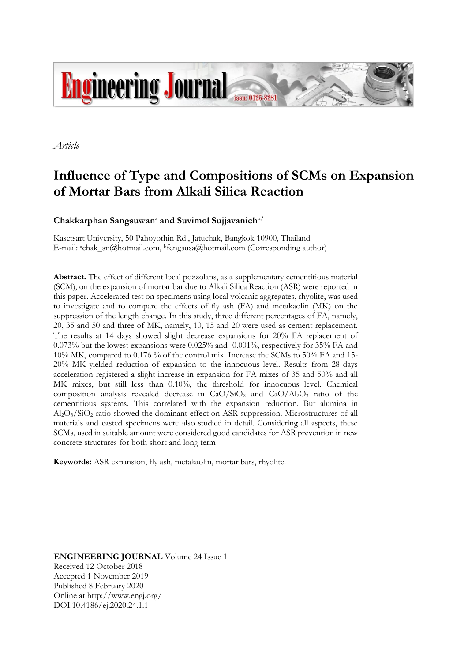

*Article*

# **Influence of Type and Compositions of SCMs on Expansion of Mortar Bars from Alkali Silica Reaction**

**Chakkarphan Sangsuwan**<sup>a</sup> **and Suvimol Sujjavanich**b,\*

Kasetsart University, 50 Pahoyothin Rd., Jatuchak, Bangkok 10900, Thailand E-mail: achak\_sn@hotmail.com, <sup>b</sup>fengsusa@hotmail.com (Corresponding author)

Abstract. The effect of different local pozzolans, as a supplementary cementitious material (SCM), on the expansion of mortar bar due to Alkali Silica Reaction (ASR) were reported in this paper. Accelerated test on specimens using local volcanic aggregates, rhyolite, was used to investigate and to compare the effects of fly ash (FA) and metakaolin (MK) on the suppression of the length change. In this study, three different percentages of FA, namely, 20, 35 and 50 and three of MK, namely, 10, 15 and 20 were used as cement replacement. The results at 14 days showed slight decrease expansions for 20% FA replacement of 0.073% but the lowest expansions were 0.025% and -0.001%, respectively for 35% FA and 10% MK, compared to 0.176 % of the control mix. Increase the SCMs to 50% FA and 15- 20% MK yielded reduction of expansion to the innocuous level. Results from 28 days acceleration registered a slight increase in expansion for FA mixes of 35 and 50% and all MK mixes, but still less than 0.10%, the threshold for innocuous level. Chemical composition analysis revealed decrease in  $CaO/SiO<sub>2</sub>$  and  $CaO/Al<sub>2</sub>O<sub>3</sub>$  ratio of the cementitious systems. This correlated with the expansion reduction. But alumina in Al2O3/SiO<sup>2</sup> ratio showed the dominant effect on ASR suppression. Microstructures of all materials and casted specimens were also studied in detail. Considering all aspects, these SCMs, used in suitable amount were considered good candidates for ASR prevention in new concrete structures for both short and long term

**Keywords:** ASR expansion, fly ash, metakaolin, mortar bars, rhyolite.

**ENGINEERING JOURNAL** Volume 24 Issue 1 Received 12 October 2018 Accepted 1 November 2019 Published 8 February 2020 Online at http://www.engj.org/ DOI:10.4186/ej.2020.24.1.1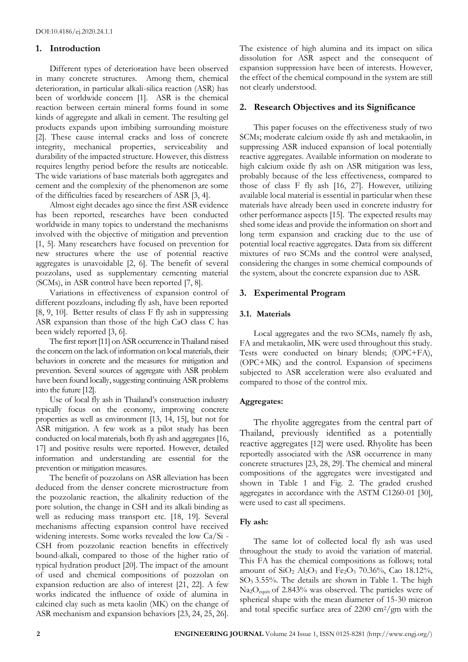# **1. Introduction**

Different types of deterioration have been observed in many concrete structures. Among them, chemical deterioration, in particular alkali-silica reaction (ASR) has been of worldwide concern [1]. ASR is the chemical reaction between certain mineral forms found in some kinds of aggregate and alkali in cement. The resulting gel products expands upon imbibing surrounding moisture [2]. These cause internal cracks and loss of concrete integrity, mechanical properties, serviceability and durability of the impacted structure. However, this distress requires lengthy period before the results are noticeable. The wide variations of base materials both aggregates and cement and the complexity of the phenomenon are some of the difficulties faced by researchers of ASR [3, 4].

Almost eight decades ago since the first ASR evidence has been reported, researches have been conducted worldwide in many topics to understand the mechanisms involved with the objective of mitigation and prevention [1, 5]. Many researchers have focused on prevention for new structures where the use of potential reactive aggregates is unavoidable [2, 6]. The benefit of several pozzolans, used as supplementary cementing material (SCMs), in ASR control have been reported [7, 8].

Variations in effectiveness of expansion control of different pozzloans, including fly ash, have been reported [8, 9, 10]. Better results of class F fly ash in suppressing ASR expansion than those of the high CaO class C has been widely reported [3, 6].

The first report [11] on ASR occurrence in Thailand raised the concern on the lack of information on local materials, their behaviors in concrete and the measures for mitigation and prevention. Several sources of aggregate with ASR problem have been found locally, suggesting continuing ASR problems into the future [12].

Use of local fly ash in Thailand's construction industry typically focus on the economy, improving concrete properties as well as environment [13, 14, 15], but not for ASR mitigation. A few work as a pilot study has been conducted on local materials, both fly ash and aggregates [16, 17] and positive results were reported. However, detailed information and understanding are essential for the prevention or mitigation measures.

The benefit of pozzolans on ASR alleviation has been deduced from the denser concrete microstructure from the pozzolanic reaction, the alkalinity reduction of the pore solution, the change in CSH and its alkali binding as well as reducing mass transport etc. [18, 19]. Several mechanisms affecting expansion control have received widening interests. Some works revealed the low Ca/Si - CSH from pozzolanic reaction benefits in effectively bound-alkali, compared to those of the higher ratio of typical hydration product [20]. The impact of the amount of used and chemical compositions of pozzolan on expansion reduction are also of interest [21, 22]. A few works indicated the influence of oxide of alumina in calcined clay such as meta kaolin (MK) on the change of ASR mechanism and expansion behaviors [23, 24, 25, 26].

The existence of high alumina and its impact on silica dissolution for ASR aspect and the consequent of expansion suppression have been of interests. However, the effect of the chemical compound in the system are still not clearly understood.

# **2. Research Objectives and its Significance**

This paper focuses on the effectiveness study of two SCMs; moderate calcium oxide fly ash and metakaolin, in suppressing ASR induced expansion of local potentially reactive aggregates. Available information on moderate to high calcium oxide fly ash on ASR mitigation was less, probably because of the less effectiveness, compared to those of class F fly ash [16, 27]. However, utilizing available local material is essential in particular when these materials have already been used in concrete industry for other performance aspects [15]. The expected results may shed some ideas and provide the information on short and long term expansion and cracking due to the use of potential local reactive aggregates. Data from six different mixtures of two SCMs and the control were analysed, considering the changes in some chemical compounds of the system, about the concrete expansion due to ASR.

# **3. Experimental Program**

# **3.1. Materials**

Local aggregates and the two SCMs, namely fly ash, FA and metakaolin, MK were used throughout this study. Tests were conducted on binary blends; (OPC+FA), (OPC+MK) and the control. Expansion of specimens subjected to ASR acceleration were also evaluated and compared to those of the control mix.

# **Aggregates:**

The rhyolite aggregates from the central part of Thailand, previously identified as a potentially reactive aggregates [12] were used. Rhyolite has been reportedly associated with the ASR occurrence in many concrete structures [23, 28, 29]. The chemical and mineral compositions of the aggregates were investigated and shown in Table 1 and Fig. 2. The graded crushed aggregates in accordance with the ASTM C1260-01 [30], were used to cast all specimens.

# **Fly ash:**

The same lot of collected local fly ash was used throughout the study to avoid the variation of material. This FA has the chemical compositions as follows; total amount of  $SiO_2$  Al<sub>2</sub>O<sub>3</sub> and Fe<sub>2</sub>O<sub>3</sub> 70.36%, Cao 18.12%, SO3 3.55%. The details are shown in Table 1. The high Na2Oequiv.of 2.843% was observed. The particles were of spherical shape with the mean diameter of 15-30 micron and total specific surface area of 2200 cm2/gm with the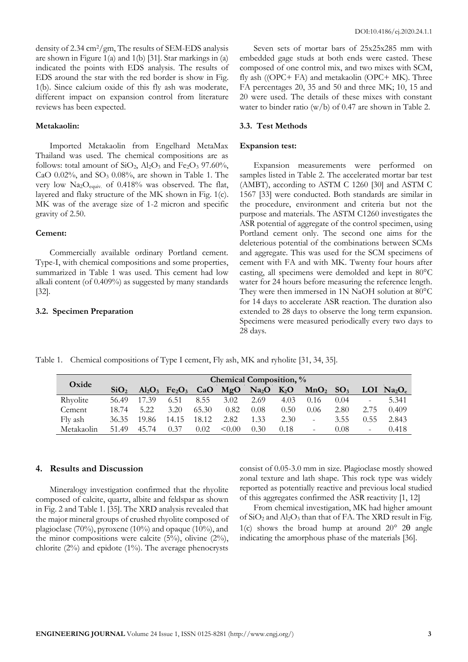density of 2.34 cm2/gm, The results of SEM-EDS analysis are shown in Figure 1(a) and 1(b) [31]. Star markings in (a) indicated the points with EDS analysis. The results of EDS around the star with the red border is show in Fig. 1(b). Since calcium oxide of this fly ash was moderate, different impact on expansion control from literature reviews has been expected.

# **Metakaolin:**

Imported Metakaolin from Engelhard MetaMax Thailand was used. The chemical compositions are as follows: total amount of  $SiO_2$ ,  $Al_2O_3$  and  $Fe_2O_3$  97.60%, CaO  $0.02\%$ , and SO<sub>3</sub>  $0.08\%$ , are shown in Table 1. The very low Na2Oequiv. of 0.418% was observed. The flat, layered and flaky structure of the MK shown in Fig. 1(c). MK was of the average size of 1-2 micron and specific gravity of 2.50.

## **Cement:**

Commercially available ordinary Portland cement. Type-I, with chemical compositions and some properties, summarized in Table 1 was used. This cement had low alkali content (of 0.409%) as suggested by many standards [32].

## **3.2. Specimen Preparation**

Seven sets of mortar bars of 25x25x285 mm with embedded gage studs at both ends were casted. These composed of one control mix, and two mixes with SCM, fly ash ((OPC+ FA) and metakaolin (OPC+ MK). Three FA percentages 20, 35 and 50 and three MK; 10, 15 and 20 were used. The details of these mixes with constant water to binder ratio (w/b) of 0.47 are shown in Table 2.

## **3.3. Test Methods**

#### **Expansion test:**

Expansion measurements were performed on samples listed in Table 2. The accelerated mortar bar test (AMBT), according to ASTM C 1260 [30] and ASTM C 1567 [33] were conducted. Both standards are similar in the procedure, environment and criteria but not the purpose and materials. The ASTM C1260 investigates the ASR potential of aggregate of the control specimen, using Portland cement only. The second one aims for the deleterious potential of the combinations between SCMs and aggregate. This was used for the SCM specimens of cement with FA and with MK. Twenty four hours after casting, all specimens were demolded and kept in 80°C water for 24 hours before measuring the reference length. They were then immersed in 1N NaOH solution at 80°C for 14 days to accelerate ASR reaction. The duration also extended to 28 days to observe the long term expansion. Specimens were measured periodically every two days to 28 days.

Table 1. Chemical compositions of Type I cement, Fly ash, MK and ryholite [31, 34, 35].

| Oxide      | Chemical Composition, % |       |                     |       |             |                   |        |                        |      |                          |                                    |
|------------|-------------------------|-------|---------------------|-------|-------------|-------------------|--------|------------------------|------|--------------------------|------------------------------------|
|            | SiO <sub>2</sub>        |       | $Al_2O_3$ $Fe_2O_3$ | CaO   | MgO         | Na <sub>2</sub> O | $K_2O$ | $MnO2$ SO <sub>3</sub> |      |                          | LOI Na <sub>2</sub> O <sub>e</sub> |
| Rhyolite   | 56.49                   | .39   | 6.51                | 8.55  | 3.02        | 2.69              | 4.03   | 0.16                   | 0.04 | $\overline{\phantom{0}}$ | 5.341                              |
| Cement     | 18.74                   | 5.22  | 3.20                | 65.30 | 0.82        | 0.08              | 0.50   | 0.06                   | 2.80 | 2.75                     | 0.409                              |
| Fly ash    | 36.35                   | 19.86 | 14.15               | 18.12 | 2.82        | 1.33              | 2.30   |                        | 3.55 | 0.55                     | 2.843                              |
| Metakaolin | 51.49                   | 45.74 | 0.37                | 0.02  | $\leq 0.00$ | 0.30              | 0.18   |                        | 0.08 |                          | 0.418                              |

# **4. Results and Discussion**

Mineralogy investigation confirmed that the rhyolite composed of calcite, quartz, albite and feldspar as shown in Fig. 2 and Table 1. [35]. The XRD analysis revealed that the major mineral groups of crushed rhyolite composed of plagioclase (70%), pyroxene (10%) and opaque (10%), and the minor compositions were calcite  $(5\%)$ , olivine  $(2\%)$ , chlorite  $(2\%)$  and epidote  $(1\%)$ . The average phenocrysts consist of 0.05-3.0 mm in size. Plagioclase mostly showed zonal texture and lath shape. This rock type was widely reported as potentially reactive and previous local studied of this aggregates confirmed the ASR reactivity [1, 12]

From chemical investigation, MK had higher amount of SiO<sup>2</sup> and Al2O<sup>3</sup> than that of FA. The XRD result in Fig. 1(c) shows the broad hump at around  $20^{\circ}$  20 angle indicating the amorphous phase of the materials [36].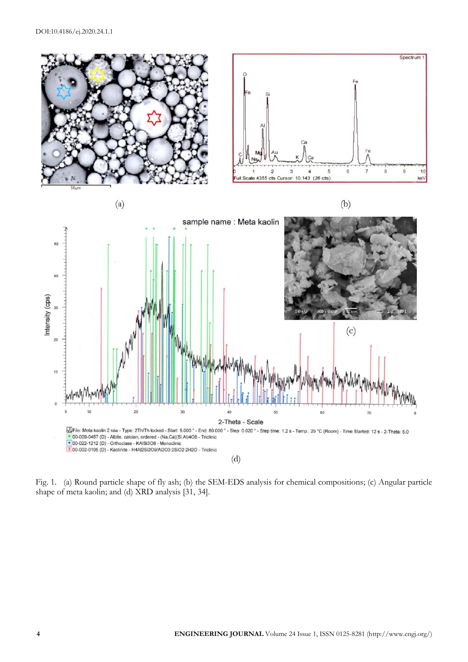

Fig. 1. (a) Round particle shape of fly ash; (b) the SEM-EDS analysis for chemical compositions; (c) Angular particle shape of meta kaolin; and (d) XRD analysis [31, 34].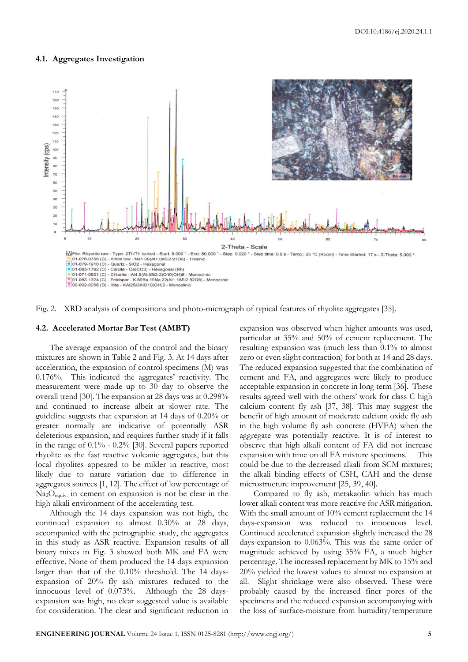#### **4.1. Aggregates Investigation**





#### **4.2. Accelerated Mortar Bar Test (AMBT)**

The average expansion of the control and the binary mixtures are shown in Table 2 and Fig. 3. At 14 days after acceleration, the expansion of control specimens (M) was 0.176%. This indicated the aggregates' reactivity. The measurement were made up to 30 day to observe the overall trend [30]. The expansion at 28 days was at 0.298% and continued to increase albeit at slower rate. The guideline suggests that expansion at 14 days of 0.20% or greater normally are indicative of potentially ASR deleterious expansion, and requires further study if it falls in the range of 0.1% - 0.2% [30]. Several papers reported rhyolite as the fast reactive volcanic aggregates, but this local rhyolites appeared to be milder in reactive, most likely due to nature variation due to difference in aggregates sources [1, 12]. The effect of low percentage of  $Na<sub>2</sub>O<sub>equivv</sub>$  in cement on expansion is not be clear in the high alkali environment of the accelerating test.

Although the 14 days expansion was not high, the continued expansion to almost 0.30% at 28 days, accompanied with the petrographic study, the aggregates in this study as ASR reactive. Expansion results of all binary mixes in Fig. 3 showed both MK and FA were effective. None of them produced the 14 days expansion larger than that of the 0.10% threshold. The 14 daysexpansion of 20% fly ash mixtures reduced to the innocuous level of 0.073%. Although the 28 daysexpansion was high, no clear suggested value is available for consideration. The clear and significant reduction in

expansion was observed when higher amounts was used, particular at 35% and 50% of cement replacement. The resulting expansion was (much less than 0.1% to almost zero or even slight contraction) for both at 14 and 28 days. The reduced expansion suggested that the combination of cement and FA, and aggregates were likely to produce acceptable expansion in concrete in long term [36]. These results agreed well with the others' work for class C high calcium content fly ash [37, 38]. This may suggest the benefit of high amount of moderate calcium oxide fly ash in the high volume fly ash concrete (HVFA) when the aggregate was potentially reactive. It is of interest to observe that high alkali content of FA did not increase expansion with time on all FA mixture specimens. This could be due to the decreased alkali from SCM mixtures; the alkali binding effects of CSH, CAH and the dense microstructure improvement [25, 39, 40].

Compared to fly ash, metakaolin which has much lower alkali content was more reactive for ASR mitigation. With the small amount of 10% cement replacement the 14 days-expansion was reduced to innocuous level. Continued accelerated expansion slightly increased the 28 days-expansion to 0.063%. This was the same order of magnitude achieved by using 35% FA, a much higher percentage. The increased replacement by MK to 15% and 20% yielded the lowest values to almost no expansion at all. Slight shrinkage were also observed. These were probably caused by the increased finer pores of the specimens and the reduced expansion accompanying with the loss of surface-moisture from humidity/temperature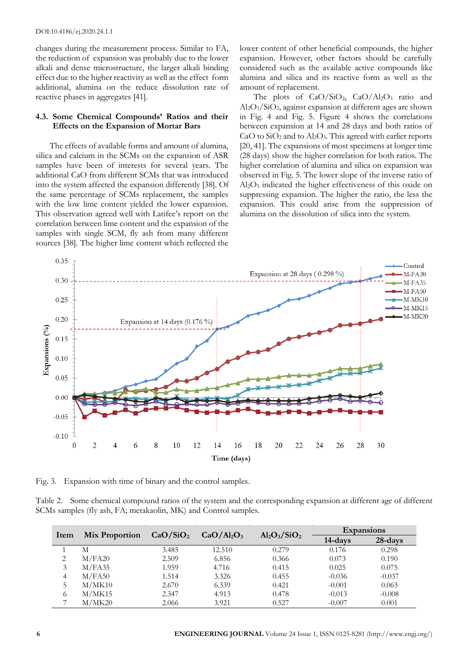#### DOI:10.4186/ej.2020.24.1.1

changes during the measurement process. Similar to FA, the reduction of expansion was probably due to the lower alkali and dense microstructure, the larger alkali binding effect due to the higher reactivity as well as the effect form additional, alumina on the reduce dissolution rate of reactive phases in aggregates [41].

# **4.3. Some Chemical Compounds' Ratios and their Effects on the Expansion of Mortar Bars**

The effects of available forms and amount of alumina, silica and calcium in the SCMs on the expansion of ASR samples have been of interests for several years. The additional CaO from different SCMs that was introduced into the system affected the expansion differently [38]. Of the same percentage of SCMs replacement, the samples with the low lime content yielded the lower expansion. This observation agreed well with Latifee's report on the correlation between lime content and the expansion of the samples with single SCM, fly ash from many different sources [38]. The higher lime content which reflected the lower content of other beneficial compounds, the higher expansion. However, other factors should be carefully considered such as the available active compounds like alumina and silica and its reactive form as well as the amount of replacement.

The plots of  $CaO/SiO<sub>2</sub>$ ,  $CaO/Al<sub>2</sub>O<sub>3</sub>$  ratio and Al2O3/SiO2, against expansion at different ages are shown in Fig. 4 and Fig. 5. Figure 4 shows the correlations between expansion at 14 and 28 days and both ratios of  $CaO$  to  $SiO<sub>2</sub>$  and to  $Al<sub>2</sub>O<sub>3</sub>$ . This agreed with earlier reports [20, 41]. The expansions of most specimens at longer time (28 days) show the higher correlation for both ratios. The higher correlation of alumina and silica on expansion was observed in Fig. 5. The lower slope of the inverse ratio of Al2O<sup>3</sup> indicated the higher effectiveness of this oxide on suppressing expansion. The higher the ratio, the less the expansion. This could arise from the suppression of alumina on the dissolution of silica into the system.



Fig. 3. Expansion with time of binary and the control samples.

Table 2. Some chemical compound ratios of the system and the corresponding expansion at different age of different SCMs samples (fly ash, FA; metakaolin, MK) and Control samples.

|      |                       | CaO/SiO <sub>2</sub> |                                    | $Al_2O_3/SiO_2$ | <b>Expansions</b> |          |  |
|------|-----------------------|----------------------|------------------------------------|-----------------|-------------------|----------|--|
| Item | <b>Mix Proportion</b> |                      | CaO/Al <sub>2</sub> O <sub>3</sub> |                 | 14-days           | 28-days  |  |
|      | М                     | 3.485                | 12.510                             | 0.279           | 0.176             | 0.298    |  |
| 2    | M/FA20                | 2.509                | 6.856                              | 0.366           | 0.073             | 0.190    |  |
|      | M/FA35                | 1.959                | 4.716                              | 0.415           | 0.025             | 0.075    |  |
| 4    | M/FA50                | 1.514                | 3.326                              | 0.455           | $-0.036$          | $-0.037$ |  |
|      | M/MK10                | 2.670                | 6.339                              | 0.421           | $-0.001$          | 0.063    |  |
| 6    | M/MK15                | 2.347                | 4.913                              | 0.478           | $-0.013$          | $-0.008$ |  |
|      | M/MK20                | 2.066                | 3.921                              | 0.527           | $-0.007$          | 0.001    |  |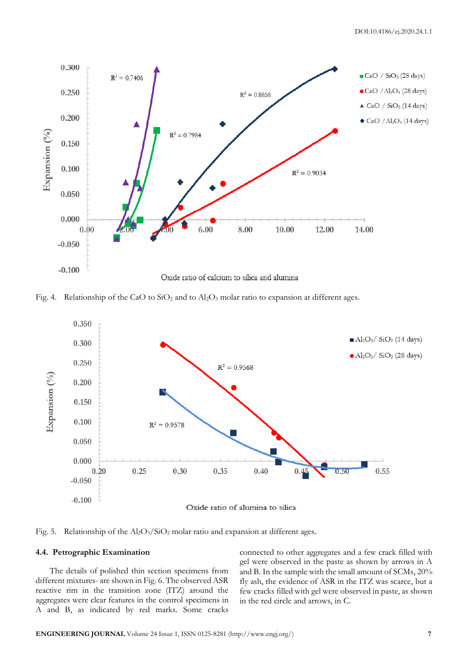

Fig. 4. Relationship of the CaO to  $SiO<sub>2</sub>$  and to  $Al<sub>2</sub>O<sub>3</sub>$  molar ratio to expansion at different ages.



Fig. 5. Relationship of the  $\text{Al}_2\text{O}_3/\text{SiO}_2$  molar ratio and expansion at different ages.

## **4.4. Petrographic Examination**

The details of polished thin section specimens from different mixtures- are shown in Fig. 6. The observed ASR reactive rim in the transition zone (ITZ) around the aggregates were clear features in the control specimens in A and B, as indicated by red marks. Some cracks connected to other aggregates and a few crack filled with gel were observed in the paste as shown by arrows in A and B. In the sample with the small amount of SCMs, 20% fly ash, the evidence of ASR in the ITZ was scarce, but a few cracks filled with gel were observed in paste, as shown in the red circle and arrows, in C.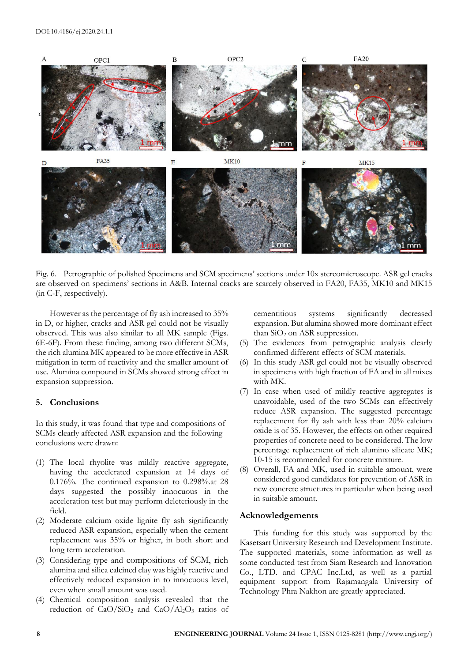

Fig. 6. Petrographic of polished Specimens and SCM specimens' sections under 10x stereomicroscope. ASR gel cracks are observed on specimens' sections in A&B. Internal cracks are scarcely observed in FA20, FA35, MK10 and MK15 (in C-F, respectively).

However as the percentage of fly ash increased to 35% in D, or higher, cracks and ASR gel could not be visually observed. This was also similar to all MK sample (Figs. 6E-6F). From these finding, among two different SCMs, the rich alumina MK appeared to be more effective in ASR mitigation in term of reactivity and the smaller amount of use. Alumina compound in SCMs showed strong effect in expansion suppression.

# **5. Conclusions**

In this study, it was found that type and compositions of SCMs clearly affected ASR expansion and the following conclusions were drawn:

- (1) The local rhyolite was mildly reactive aggregate, having the accelerated expansion at 14 days of 0.176%. The continued expansion to 0.298%.at 28 days suggested the possibly innocuous in the acceleration test but may perform deleteriously in the field.
- (2) Moderate calcium oxide lignite fly ash significantly reduced ASR expansion, especially when the cement replacement was 35% or higher, in both short and long term acceleration.
- (3) Considering type and compositions of SCM, rich alumina and silica calcined clay was highly reactive and effectively reduced expansion in to innocuous level, even when small amount was used.
- (4) Chemical composition analysis revealed that the reduction of  $CaO/SiO<sub>2</sub>$  and  $CaO/Al<sub>2</sub>O<sub>3</sub>$  ratios of

cementitious systems significantly decreased expansion. But alumina showed more dominant effect than  $SiO<sub>2</sub>$  on ASR suppression.

- (5) The evidences from petrographic analysis clearly confirmed different effects of SCM materials.
- (6) In this study ASR gel could not be visually observed in specimens with high fraction of FA and in all mixes with MK.
- (7) In case when used of mildly reactive aggregates is unavoidable, used of the two SCMs can effectively reduce ASR expansion. The suggested percentage replacement for fly ash with less than 20% calcium oxide is of 35. However, the effects on other required properties of concrete need to be considered. The low percentage replacement of rich alumino silicate MK; 10-15 is recommended for concrete mixture.
- (8) Overall, FA and MK, used in suitable amount, were considered good candidates for prevention of ASR in new concrete structures in particular when being used in suitable amount.

## **Acknowledgements**

This funding for this study was supported by the Kasetsart University Research and Development Institute. The supported materials, some information as well as some conducted test from Siam Research and Innovation Co., LTD. and CPAC Inc.Ltd, as well as a partial equipment support from Rajamangala University of Technology Phra Nakhon are greatly appreciated.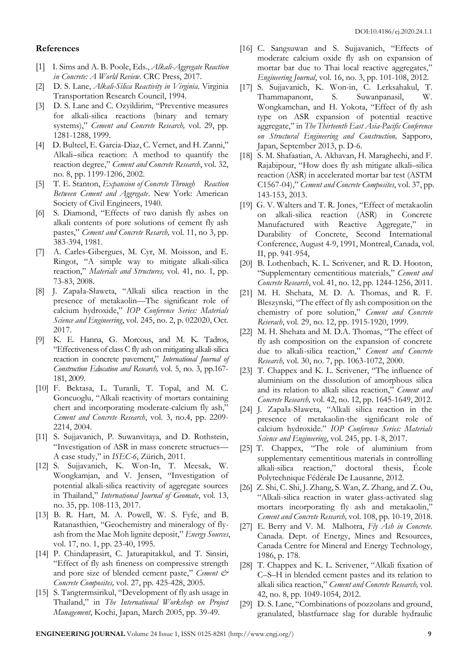# **References**

- [1] I. Sims and A. B. Poole, Eds., *Alkali-Aggregate Reaction in Concrete: A World Review*. CRC Press, 2017.
- [2] D. S. Lane, *Alkali-Silica Reactivity in Virginia*. Virginia Transportation Research Council, 1994.
- [3] D. S. Lane and C. Ozyildirim, "Preventive measures for alkali-silica reactions (binary and ternary systems)," *Cement and Concrete Research,* vol. 29, pp. 1281-1288, 1999.
- [4] D. Bulteel, E. Garcia-Diaz, C. Vernet, and H. Zanni," Alkali–silica reaction: A method to quantify the reaction degree," *Cement and Concrete Research*, vol. 32, no. 8, pp. 1199-1206, 2002.
- [5] T. E. Stanton, *Expansion of Concrete Through Reaction Between Cement and Aggregate*. New York: American Society of Civil Engineers, 1940.
- [6] S. Diamond, "Effects of two danish fly ashes on alkali contents of pore solutions of cement fly ash pastes," *Cement and Concrete Resarch,* vol. 11, no 3, pp. 383-394, 1981.
- [7] A. Carles-Gibergues, M. Cyr, M. Moisson, and E. Ringot, "A simple way to mitigate alkali-silica reaction," *Materials and Structures,* vol. 41, no. 1, pp. 73-83, 2008.
- [8] J. Zapała-Sławeta, "Alkali silica reaction in the presence of metakaolin—The significant role of calcium hydroxide," *IOP Conference Series: Materials Science and Engineering*, vol. 245, no. 2, p. 022020, Oct. 2017.
- [9] K. E. Hanna, G. Morcous, and M. K. Tadros, "Effectiveness of class C fly ash on mitigating alkali-silica reaction in concrete pavement," *International Journal of Construction Education and Research,* vol. 5, no. 3, pp.167- 181, 2009.
- [10] F. Bektasa, L. Turanli, T. Topal, and M. C. Goncuoglu, "Alkali reactivity of mortars containing chert and incorporating moderate-calcium fly ash," *Cement and Concrete Research*, vol. 3, no.4, pp. 2209- 2214, 2004.
- [11] S. Sujjavanich, P. Suwanvitaya, and D. Rothstein, "Investigation of ASR in mass concrete structues— A case study," in *ISEC-6*, Zürich, 2011.
- [12] S. Sujjavanich, K. Won-In, T. Meesak, W. Wongkamjan, and V. Jensen, "Investigation of potential alkali-silica reactivity of aggregate sources in Thailand," *International Journal of Geomate*, vol. 13, no. 35, pp. 108-113, 2017.
- [13] B. R. Hart, M. A. Powell, W. S. Fyfe, and B. Ratanasthien, "Geochemistry and mineralogy of flyash from the Mae Moh lignite deposit," *Energy Sources*, vol. 17, no. 1, pp. 23-40, 1995.
- [14] P. Chindaprasirt, C. Jaturapitakkul, and T. Sinsiri, "Effect of fly ash fineness on compressive strength and pore size of blended cement paste," *Cement & Concrete Composites,* vol. 27, pp. 425-428, 2005.
- [15] S. Tangtermsirikul, "Development of fly ash usage in Thailand," in *The International Workshop on Project Management*, Kochi, Japan, March 2005, pp. 39-49.
- [16] C. Sangsuwan and S. Sujjavanich, "Effects of moderate calcium oxide fly ash on expansion of mortar bar due to Thai local reactive aggregates," *Engineering Journal*, vol. 16, no. 3, pp. 101-108, 2012.
- [17] S. Sujjavanich, K. Won-in, C. Lerksahakul, T. Thammapanont, S. Suwanpanasil, W. Wongkamchan, and H. Yokota, "Effect of fly ash type on ASR expansion of potential reactive aggregate," in *The Thirteenth East Asia-Pacific Conference on Structural Engineering and Construction,* Sapporo, Japan, September 2013, p. D-6.
- [18] S. M. Shafaatian, A. Akhavan, H. Maraghechi, and F. Rajabipour, "How does fly ash mitigate alkali–silica reaction (ASR) in accelerated mortar bar test (ASTM C1567-04)," *Cement and Concrete Composites*, vol. 37, pp. 143-153, 2013.
- [19] G. V. Walters and T. R. Jones, "Effect of metakaolin on alkali-silica reaction (ASR) in Concrete Manufactured with Reactive Aggregate," in Durability of Concrete, Second International Conference, August 4-9, 1991, Montreal, Canada, vol. II, pp. 941-954,
- [20] B. Lothenbach, K. L. Scrivener, and R. D. Hooton, "Supplementary cementitious materials," *Cement and Concrete Research*, vol. 41, no. 12, pp. 1244-1256, 2011.
- [21] M. H. Shehata, M. D. A. Thomas, and R. F. Bleszynski, "The effect of fly ash composition on the chemistry of pore solution," *Cement and Concrete Reserach*, vol. 29, no. 12, pp. 1915-1920, 1999.
- [22] M. H. Shehata and M. D.A. Thomas, "The effect of fly ash composition on the expansion of concrete due to alkali-silica reaction," *Cement and Concrete Research,* vol. 30, no. 7, pp. 1063-1072, 2000.
- [23] T. Chappex and K. L. Scrivener, "The influence of aluminium on the dissolution of amorphous silica and its relation to alkali silica reaction," *Cement and Concrete Research,* vol. 42, no. 12, pp. 1645-1649, 2012.
- [24] J. Zapała-Sławeta, "Alkali silica reaction in the presence of metakaolin-the significant role of calcium hydroxide." *IOP Conference Series: Materials Science and Engineering*, vol. 245, pp. 1-8, 2017.
- [25] T. Chappex, "The role of aluminium from supplementary cementitious materials in controlling alkali-silica reaction," doctoral thesis, École Polytechnique Fédérale De Lausanne, 2012.
- [26] Z. Shi, C. Shi, J. Zhang, S. Wan, Z. Zhang, and Z. Ou, "Alkali-silica reaction in water glass-activated slag mortars incorporating fly ash and metakaolin, *Cement and Concrete Research,* vol. 108, pp. 10-19, 2018.
- [27] E. Berry and V. M. Malhotra, *Fly Ash in Concrete*. Canada. Dept. of Energy, Mines and Resources, Canada Centre for Mineral and Energy Technology, 1986, p. 178.
- [28] T. Chappex and K. L. Scrivener, "Alkali fixation of C–S–H in blended cement pastes and its relation to alkali silica reaction," *Cement and Concrete Research,* vol. 42, no. 8, pp. 1049-1054, 2012.
- [29] D. S. Lane, "Combinations of pozzolans and ground, granulated, blastfurnace slag for durable hydraulic